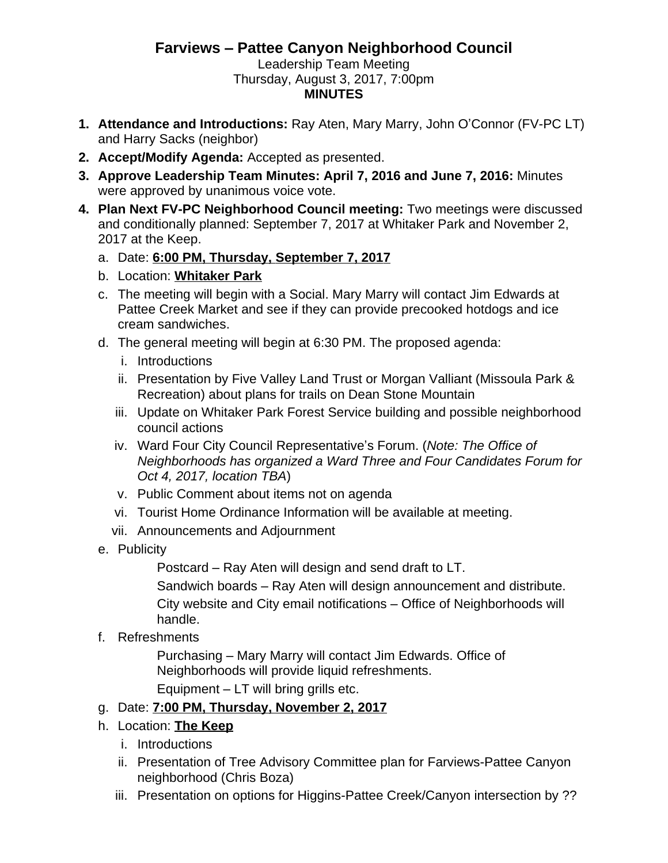## **Farviews – Pattee Canyon Neighborhood Council**

Leadership Team Meeting Thursday, August 3, 2017, 7:00pm **MINUTES**

- **1. Attendance and Introductions:** Ray Aten, Mary Marry, John O'Connor (FV-PC LT) and Harry Sacks (neighbor)
- **2. Accept/Modify Agenda:** Accepted as presented.
- **3. Approve Leadership Team Minutes: April 7, 2016 and June 7, 2016:** Minutes were approved by unanimous voice vote.
- **4. Plan Next FV-PC Neighborhood Council meeting:** Two meetings were discussed and conditionally planned: September 7, 2017 at Whitaker Park and November 2, 2017 at the Keep.
	- a. Date: **6:00 PM, Thursday, September 7, 2017**
	- b. Location: **Whitaker Park**
	- c. The meeting will begin with a Social. Mary Marry will contact Jim Edwards at Pattee Creek Market and see if they can provide precooked hotdogs and ice cream sandwiches.
	- d. The general meeting will begin at 6:30 PM. The proposed agenda:
		- i. Introductions
		- ii. Presentation by Five Valley Land Trust or Morgan Valliant (Missoula Park & Recreation) about plans for trails on Dean Stone Mountain
		- iii. Update on Whitaker Park Forest Service building and possible neighborhood council actions
		- iv. Ward Four City Council Representative's Forum. (*Note: The Office of Neighborhoods has organized a Ward Three and Four Candidates Forum for Oct 4, 2017, location TBA*)
		- v. Public Comment about items not on agenda
		- vi. Tourist Home Ordinance Information will be available at meeting.
		- vii. Announcements and Adjournment
	- e. Publicity

Postcard – Ray Aten will design and send draft to LT.

Sandwich boards – Ray Aten will design announcement and distribute. City website and City email notifications – Office of Neighborhoods will handle.

f. Refreshments

Purchasing – Mary Marry will contact Jim Edwards. Office of Neighborhoods will provide liquid refreshments.

Equipment – LT will bring grills etc.

## g. Date: **7:00 PM, Thursday, November 2, 2017**

- h. Location: **The Keep**
	- i. Introductions
	- ii. Presentation of Tree Advisory Committee plan for Farviews-Pattee Canyon neighborhood (Chris Boza)
	- iii. Presentation on options for Higgins-Pattee Creek/Canyon intersection by ??